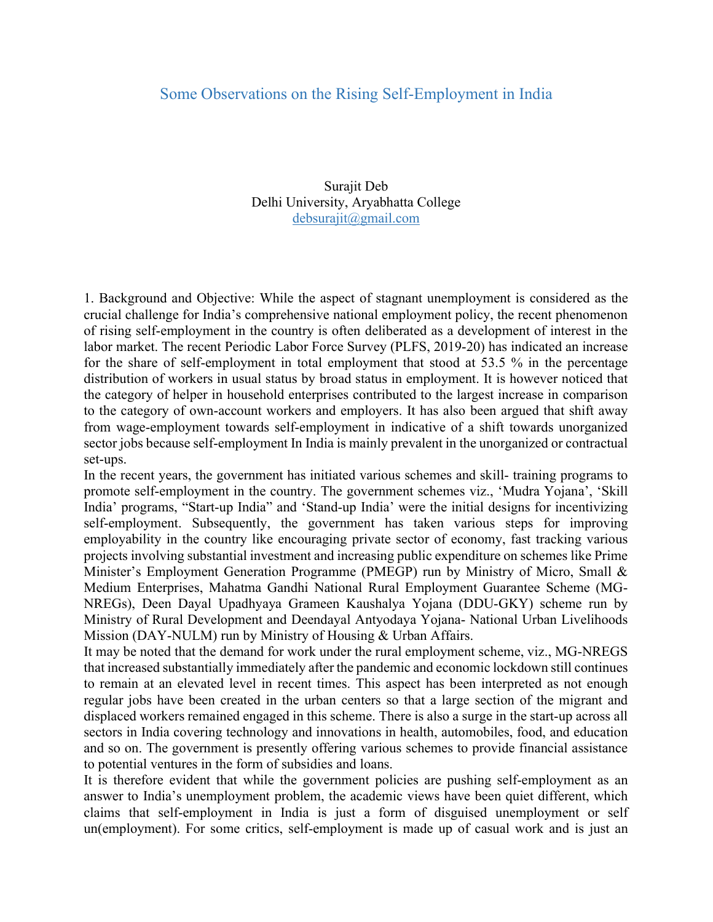## Some Observations on the Rising Self-Employment in India

Surajit Deb Delhi University, Aryabhatta College debsurajit@gmail.com

1. Background and Objective: While the aspect of stagnant unemployment is considered as the crucial challenge for India's comprehensive national employment policy, the recent phenomenon of rising self-employment in the country is often deliberated as a development of interest in the labor market. The recent Periodic Labor Force Survey (PLFS, 2019-20) has indicated an increase for the share of self-employment in total employment that stood at 53.5 % in the percentage distribution of workers in usual status by broad status in employment. It is however noticed that the category of helper in household enterprises contributed to the largest increase in comparison to the category of own-account workers and employers. It has also been argued that shift away from wage-employment towards self-employment in indicative of a shift towards unorganized sector jobs because self-employment In India is mainly prevalent in the unorganized or contractual set-ups.

In the recent years, the government has initiated various schemes and skill- training programs to promote self-employment in the country. The government schemes viz., 'Mudra Yojana', 'Skill India' programs, "Start-up India" and 'Stand-up India' were the initial designs for incentivizing self-employment. Subsequently, the government has taken various steps for improving employability in the country like encouraging private sector of economy, fast tracking various projects involving substantial investment and increasing public expenditure on schemes like Prime Minister's Employment Generation Programme (PMEGP) run by Ministry of Micro, Small & Medium Enterprises, Mahatma Gandhi National Rural Employment Guarantee Scheme (MG-NREGs), Deen Dayal Upadhyaya Grameen Kaushalya Yojana (DDU-GKY) scheme run by Ministry of Rural Development and Deendayal Antyodaya Yojana- National Urban Livelihoods Mission (DAY-NULM) run by Ministry of Housing & Urban Affairs.

It may be noted that the demand for work under the rural employment scheme, viz., MG-NREGS that increased substantially immediately after the pandemic and economic lockdown still continues to remain at an elevated level in recent times. This aspect has been interpreted as not enough regular jobs have been created in the urban centers so that a large section of the migrant and displaced workers remained engaged in this scheme. There is also a surge in the start-up across all sectors in India covering technology and innovations in health, automobiles, food, and education and so on. The government is presently offering various schemes to provide financial assistance to potential ventures in the form of subsidies and loans.

It is therefore evident that while the government policies are pushing self-employment as an answer to India's unemployment problem, the academic views have been quiet different, which claims that self-employment in India is just a form of disguised unemployment or self un(employment). For some critics, self-employment is made up of casual work and is just an